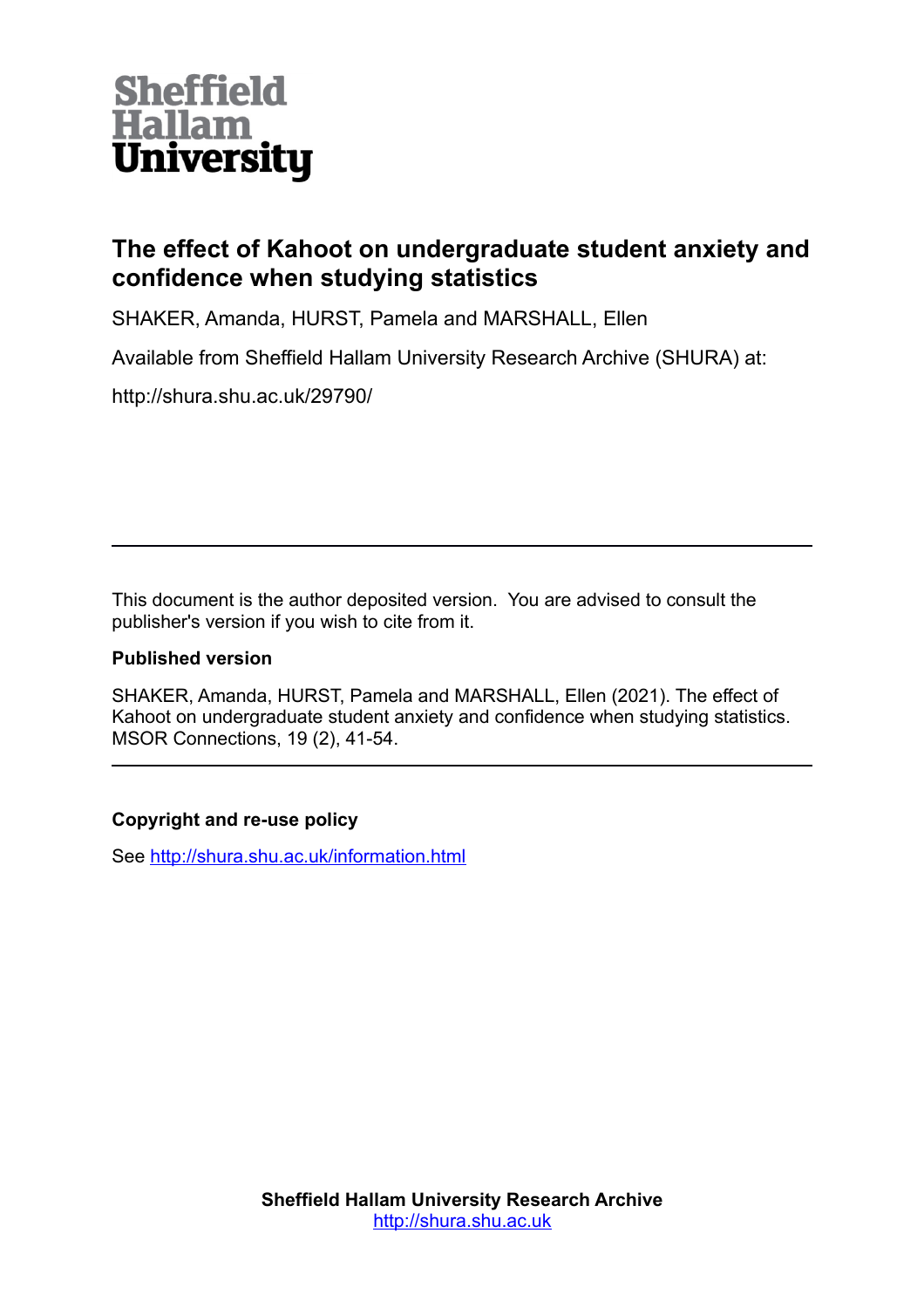

# **The effect of Kahoot on undergraduate student anxiety and confidence when studying statistics**

SHAKER, Amanda, HURST, Pamela and MARSHALL, Ellen

Available from Sheffield Hallam University Research Archive (SHURA) at:

http://shura.shu.ac.uk/29790/

This document is the author deposited version. You are advised to consult the publisher's version if you wish to cite from it.

#### **Published version**

SHAKER, Amanda, HURST, Pamela and MARSHALL, Ellen (2021). The effect of Kahoot on undergraduate student anxiety and confidence when studying statistics. MSOR Connections, 19 (2), 41-54.

#### **Copyright and re-use policy**

See<http://shura.shu.ac.uk/information.html>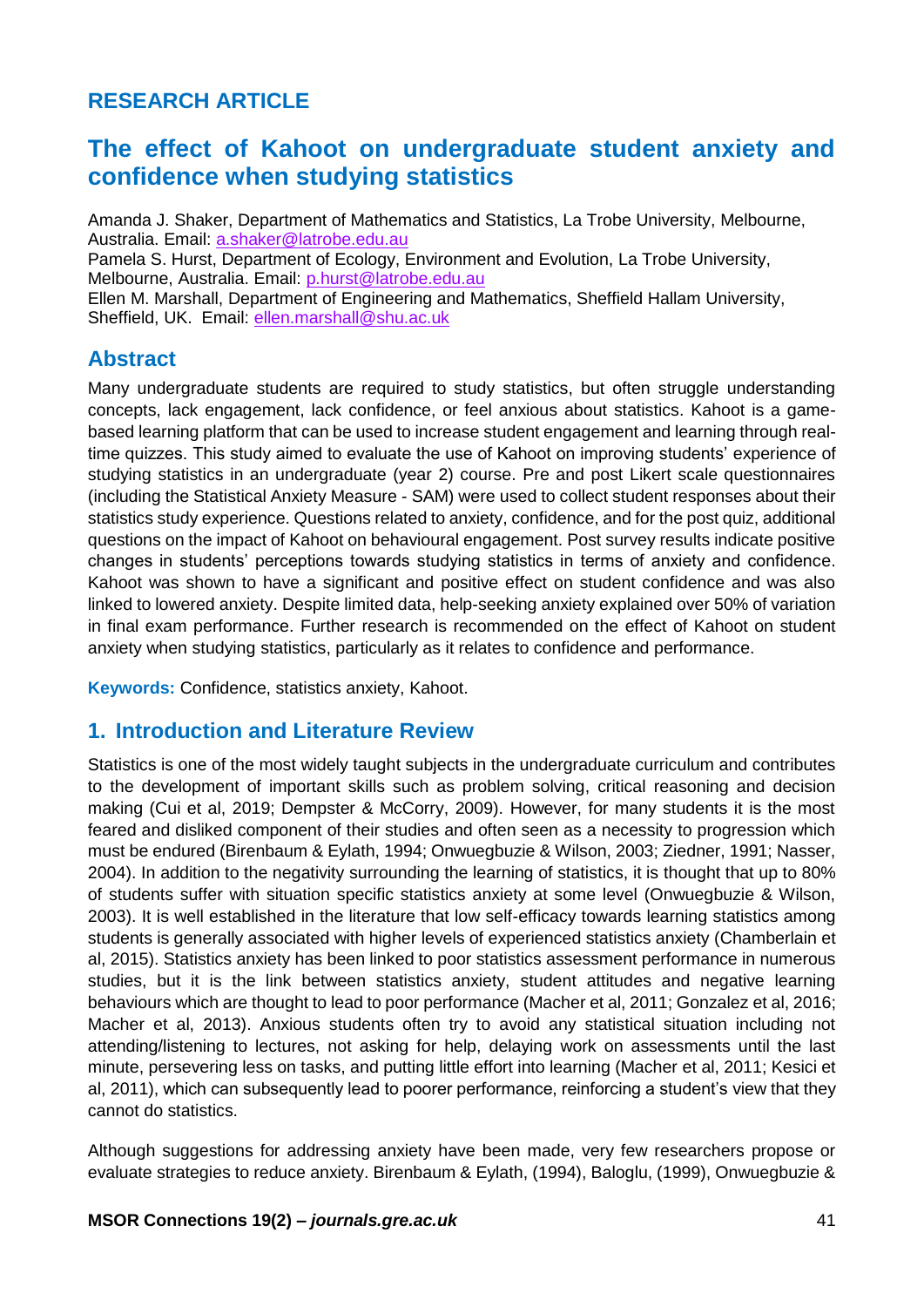# **RESEARCH ARTICLE**

# **The effect of Kahoot on undergraduate student anxiety and confidence when studying statistics**

Amanda J. Shaker, Department of Mathematics and Statistics, La Trobe University, Melbourne, Australia. Email: [a.shaker@latrobe.edu.au](mailto:a.shaker@latrobe.edu.au) Pamela S. Hurst, Department of Ecology, Environment and Evolution, La Trobe University, Melbourne, Australia. Email: [p.hurst@latrobe.edu.au](mailto:p.hurst@latrobe.edu.au) Ellen M. Marshall, Department of Engineering and Mathematics, Sheffield Hallam University, Sheffield, UK. Email: [ellen.marshall@shu.ac.uk](mailto:ellen.marshall@shu.ac.uk)

## **Abstract**

Many undergraduate students are required to study statistics, but often struggle understanding concepts, lack engagement, lack confidence, or feel anxious about statistics. Kahoot is a gamebased learning platform that can be used to increase student engagement and learning through realtime quizzes. This study aimed to evaluate the use of Kahoot on improving students' experience of studying statistics in an undergraduate (year 2) course. Pre and post Likert scale questionnaires (including the Statistical Anxiety Measure - SAM) were used to collect student responses about their statistics study experience. Questions related to anxiety, confidence, and for the post quiz, additional questions on the impact of Kahoot on behavioural engagement. Post survey results indicate positive changes in students' perceptions towards studying statistics in terms of anxiety and confidence. Kahoot was shown to have a significant and positive effect on student confidence and was also linked to lowered anxiety. Despite limited data, help-seeking anxiety explained over 50% of variation in final exam performance. Further research is recommended on the effect of Kahoot on student anxiety when studying statistics, particularly as it relates to confidence and performance.

**Keywords:** Confidence, statistics anxiety, Kahoot.

## **1. Introduction and Literature Review**

Statistics is one of the most widely taught subjects in the undergraduate curriculum and contributes to the development of important skills such as problem solving, critical reasoning and decision making (Cui et al, 2019; Dempster & McCorry, 2009). However, for many students it is the most feared and disliked component of their studies and often seen as a necessity to progression which must be endured (Birenbaum & Eylath, 1994; Onwuegbuzie & Wilson, 2003; Ziedner, 1991; Nasser, 2004). In addition to the negativity surrounding the learning of statistics, it is thought that up to 80% of students suffer with situation specific statistics anxiety at some level (Onwuegbuzie & Wilson, 2003). It is well established in the literature that low self-efficacy towards learning statistics among students is generally associated with higher levels of experienced statistics anxiety (Chamberlain et al, 2015). Statistics anxiety has been linked to poor statistics assessment performance in numerous studies, but it is the link between statistics anxiety, student attitudes and negative learning behaviours which are thought to lead to poor performance (Macher et al, 2011; Gonzalez et al, 2016; Macher et al, 2013). Anxious students often try to avoid any statistical situation including not attending/listening to lectures, not asking for help, delaying work on assessments until the last minute, persevering less on tasks, and putting little effort into learning (Macher et al, 2011; Kesici et al, 2011), which can subsequently lead to poorer performance, reinforcing a student's view that they cannot do statistics.

Although suggestions for addressing anxiety have been made, very few researchers propose or evaluate strategies to reduce anxiety. Birenbaum & Eylath, (1994), Baloglu, (1999), Onwuegbuzie &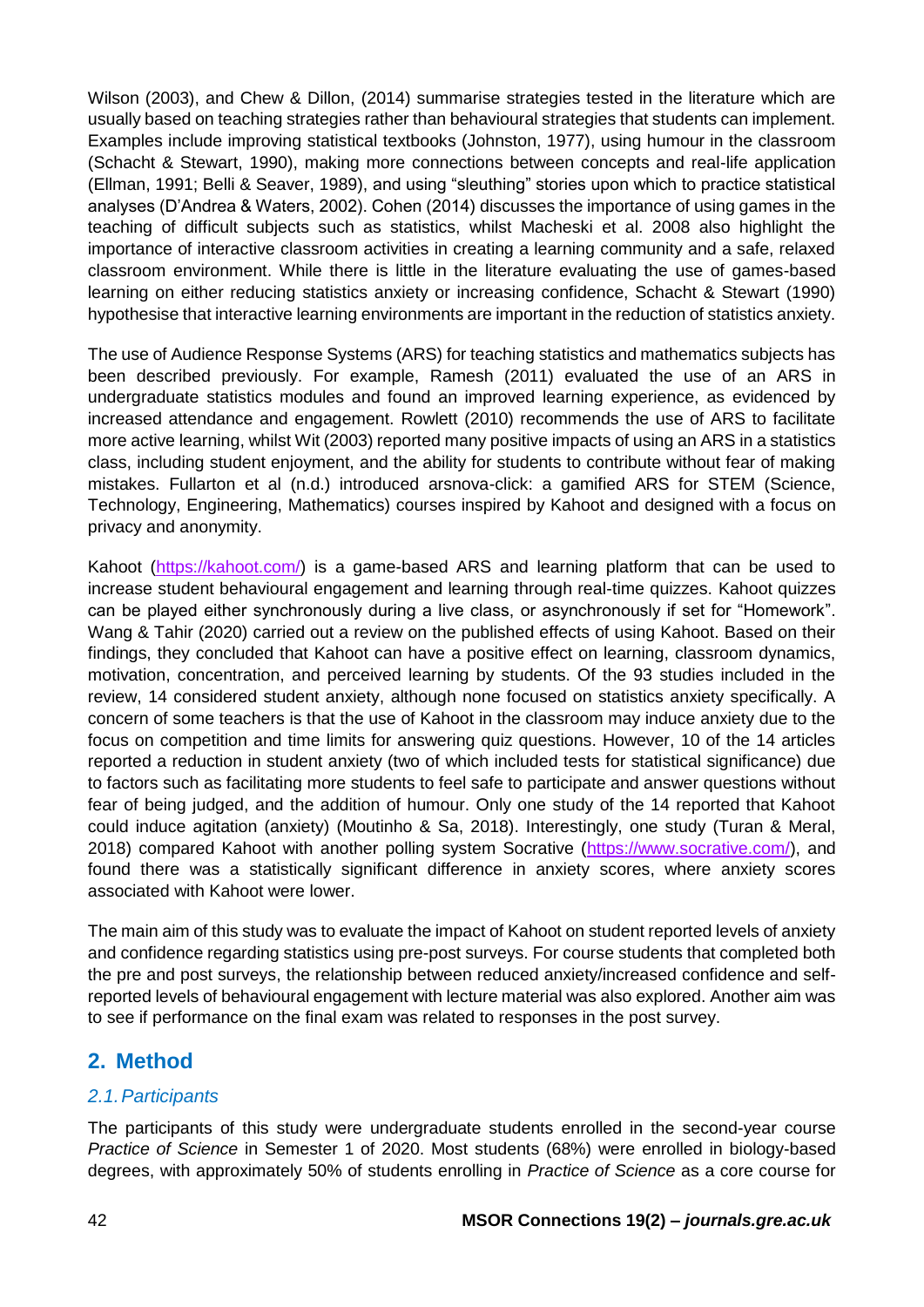Wilson (2003), and Chew & Dillon, (2014) summarise strategies tested in the literature which are usually based on teaching strategies rather than behavioural strategies that students can implement. Examples include improving statistical textbooks (Johnston, 1977), using humour in the classroom (Schacht & Stewart, 1990), making more connections between concepts and real-life application (Ellman, 1991; Belli & Seaver, 1989), and using "sleuthing" stories upon which to practice statistical analyses (D'Andrea & Waters, 2002). Cohen (2014) discusses the importance of using games in the teaching of difficult subjects such as statistics, whilst Macheski et al. 2008 also highlight the importance of interactive classroom activities in creating a learning community and a safe, relaxed classroom environment. While there is little in the literature evaluating the use of games-based learning on either reducing statistics anxiety or increasing confidence, Schacht & Stewart (1990) hypothesise that interactive learning environments are important in the reduction of statistics anxiety.

The use of Audience Response Systems (ARS) for teaching statistics and mathematics subjects has been described previously. For example, Ramesh (2011) evaluated the use of an ARS in undergraduate statistics modules and found an improved learning experience, as evidenced by increased attendance and engagement. Rowlett (2010) recommends the use of ARS to facilitate more active learning, whilst Wit (2003) reported many positive impacts of using an ARS in a statistics class, including student enjoyment, and the ability for students to contribute without fear of making mistakes. Fullarton et al (n.d.) introduced arsnova-click: a gamified ARS for STEM (Science, Technology, Engineering, Mathematics) courses inspired by Kahoot and designed with a focus on privacy and anonymity.

Kahoot [\(https://kahoot.com/\)](https://kahoot.com/) is a game-based ARS and learning platform that can be used to increase student behavioural engagement and learning through real-time quizzes. Kahoot quizzes can be played either synchronously during a live class, or asynchronously if set for "Homework". Wang & Tahir (2020) carried out a review on the published effects of using Kahoot. Based on their findings, they concluded that Kahoot can have a positive effect on learning, classroom dynamics, motivation, concentration, and perceived learning by students. Of the 93 studies included in the review, 14 considered student anxiety, although none focused on statistics anxiety specifically. A concern of some teachers is that the use of Kahoot in the classroom may induce anxiety due to the focus on competition and time limits for answering quiz questions. However, 10 of the 14 articles reported a reduction in student anxiety (two of which included tests for statistical significance) due to factors such as facilitating more students to feel safe to participate and answer questions without fear of being judged, and the addition of humour. Only one study of the 14 reported that Kahoot could induce agitation (anxiety) (Moutinho & Sa, 2018). Interestingly, one study (Turan & Meral, 2018) compared Kahoot with another polling system Socrative [\(https://www.socrative.com/\)](https://www.socrative.com/), and found there was a statistically significant difference in anxiety scores, where anxiety scores associated with Kahoot were lower.

The main aim of this study was to evaluate the impact of Kahoot on student reported levels of anxiety and confidence regarding statistics using pre-post surveys. For course students that completed both the pre and post surveys, the relationship between reduced anxiety/increased confidence and selfreported levels of behavioural engagement with lecture material was also explored. Another aim was to see if performance on the final exam was related to responses in the post survey.

## **2. Method**

#### *2.1.Participants*

The participants of this study were undergraduate students enrolled in the second-year course *Practice of Science* in Semester 1 of 2020. Most students (68%) were enrolled in biology-based degrees, with approximately 50% of students enrolling in *Practice of Science* as a core course for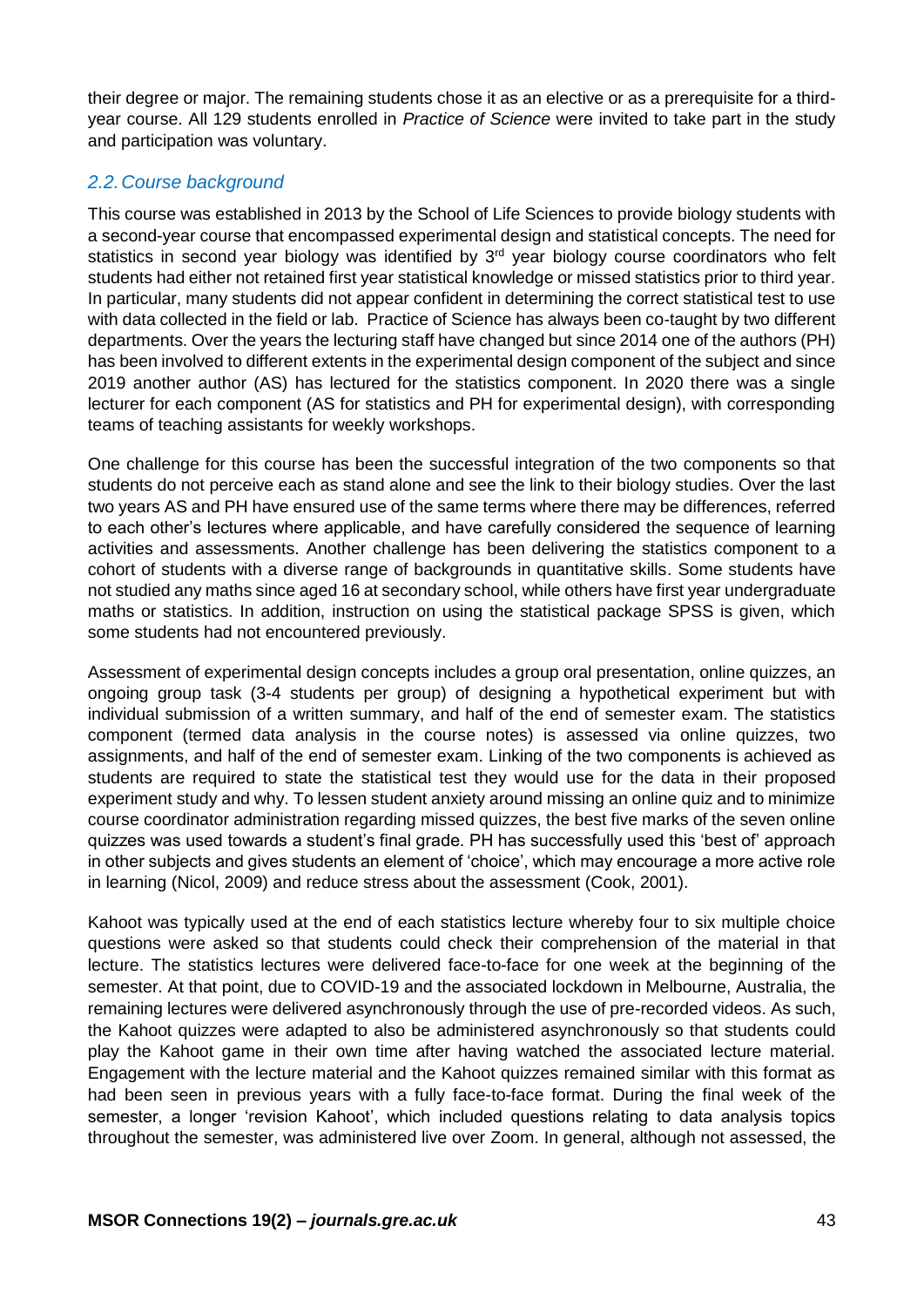their degree or major. The remaining students chose it as an elective or as a prerequisite for a thirdyear course. All 129 students enrolled in *Practice of Science* were invited to take part in the study and participation was voluntary.

### *2.2.Course background*

This course was established in 2013 by the School of Life Sciences to provide biology students with a second-year course that encompassed experimental design and statistical concepts. The need for statistics in second year biology was identified by 3<sup>rd</sup> year biology course coordinators who felt students had either not retained first year statistical knowledge or missed statistics prior to third year. In particular, many students did not appear confident in determining the correct statistical test to use with data collected in the field or lab. Practice of Science has always been co-taught by two different departments. Over the years the lecturing staff have changed but since 2014 one of the authors (PH) has been involved to different extents in the experimental design component of the subject and since 2019 another author (AS) has lectured for the statistics component. In 2020 there was a single lecturer for each component (AS for statistics and PH for experimental design), with corresponding teams of teaching assistants for weekly workshops.

One challenge for this course has been the successful integration of the two components so that students do not perceive each as stand alone and see the link to their biology studies. Over the last two years AS and PH have ensured use of the same terms where there may be differences, referred to each other's lectures where applicable, and have carefully considered the sequence of learning activities and assessments. Another challenge has been delivering the statistics component to a cohort of students with a diverse range of backgrounds in quantitative skills. Some students have not studied any maths since aged 16 at secondary school, while others have first year undergraduate maths or statistics. In addition, instruction on using the statistical package SPSS is given, which some students had not encountered previously.

Assessment of experimental design concepts includes a group oral presentation, online quizzes, an ongoing group task (3-4 students per group) of designing a hypothetical experiment but with individual submission of a written summary, and half of the end of semester exam. The statistics component (termed data analysis in the course notes) is assessed via online quizzes, two assignments, and half of the end of semester exam. Linking of the two components is achieved as students are required to state the statistical test they would use for the data in their proposed experiment study and why. To lessen student anxiety around missing an online quiz and to minimize course coordinator administration regarding missed quizzes, the best five marks of the seven online quizzes was used towards a student's final grade. PH has successfully used this 'best of' approach in other subjects and gives students an element of 'choice', which may encourage a more active role in learning (Nicol, 2009) and reduce stress about the assessment (Cook, 2001).

Kahoot was typically used at the end of each statistics lecture whereby four to six multiple choice questions were asked so that students could check their comprehension of the material in that lecture. The statistics lectures were delivered face-to-face for one week at the beginning of the semester. At that point, due to COVID-19 and the associated lockdown in Melbourne, Australia, the remaining lectures were delivered asynchronously through the use of pre-recorded videos. As such, the Kahoot quizzes were adapted to also be administered asynchronously so that students could play the Kahoot game in their own time after having watched the associated lecture material. Engagement with the lecture material and the Kahoot quizzes remained similar with this format as had been seen in previous years with a fully face-to-face format. During the final week of the semester, a longer 'revision Kahoot', which included questions relating to data analysis topics throughout the semester, was administered live over Zoom. In general, although not assessed, the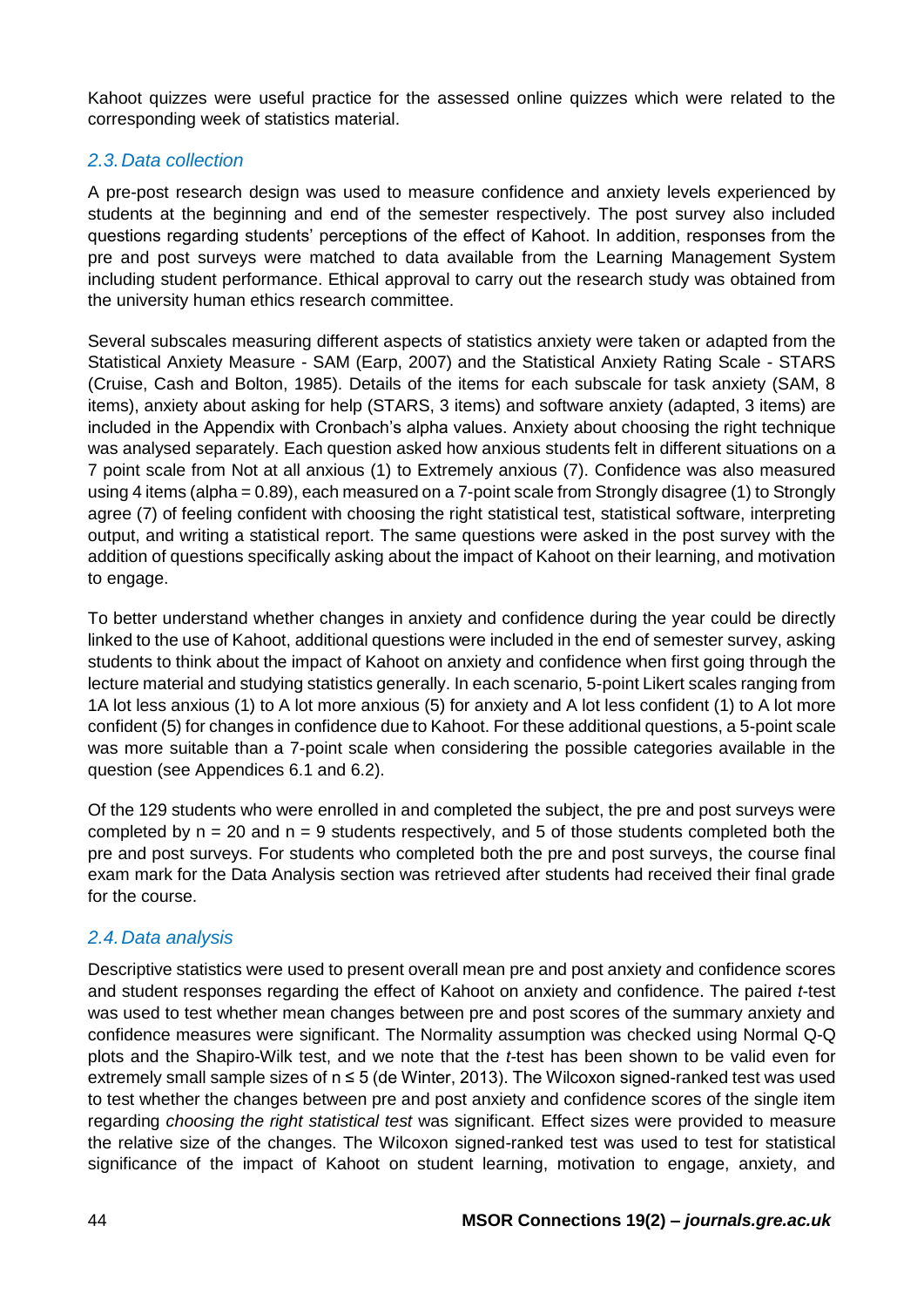Kahoot quizzes were useful practice for the assessed online quizzes which were related to the corresponding week of statistics material.

#### *2.3.Data collection*

A pre-post research design was used to measure confidence and anxiety levels experienced by students at the beginning and end of the semester respectively. The post survey also included questions regarding students' perceptions of the effect of Kahoot. In addition, responses from the pre and post surveys were matched to data available from the Learning Management System including student performance. Ethical approval to carry out the research study was obtained from the university human ethics research committee.

Several subscales measuring different aspects of statistics anxiety were taken or adapted from the Statistical Anxiety Measure - SAM (Earp, 2007) and the Statistical Anxiety Rating Scale - STARS (Cruise, Cash and Bolton, 1985). Details of the items for each subscale for task anxiety (SAM, 8 items), anxiety about asking for help (STARS, 3 items) and software anxiety (adapted, 3 items) are included in the Appendix with Cronbach's alpha values. Anxiety about choosing the right technique was analysed separately. Each question asked how anxious students felt in different situations on a 7 point scale from Not at all anxious (1) to Extremely anxious (7). Confidence was also measured using 4 items (alpha = 0.89), each measured on a 7-point scale from Strongly disagree (1) to Strongly agree (7) of feeling confident with choosing the right statistical test, statistical software, interpreting output, and writing a statistical report. The same questions were asked in the post survey with the addition of questions specifically asking about the impact of Kahoot on their learning, and motivation to engage.

To better understand whether changes in anxiety and confidence during the year could be directly linked to the use of Kahoot, additional questions were included in the end of semester survey, asking students to think about the impact of Kahoot on anxiety and confidence when first going through the lecture material and studying statistics generally. In each scenario, 5-point Likert scales ranging from 1A lot less anxious (1) to A lot more anxious (5) for anxiety and A lot less confident (1) to A lot more confident (5) for changes in confidence due to Kahoot. For these additional questions, a 5-point scale was more suitable than a 7-point scale when considering the possible categories available in the question (see Appendices 6.1 and 6.2).

Of the 129 students who were enrolled in and completed the subject, the pre and post surveys were completed by  $n = 20$  and  $n = 9$  students respectively, and 5 of those students completed both the pre and post surveys. For students who completed both the pre and post surveys, the course final exam mark for the Data Analysis section was retrieved after students had received their final grade for the course.

#### *2.4.Data analysis*

Descriptive statistics were used to present overall mean pre and post anxiety and confidence scores and student responses regarding the effect of Kahoot on anxiety and confidence. The paired *t*-test was used to test whether mean changes between pre and post scores of the summary anxiety and confidence measures were significant. The Normality assumption was checked using Normal Q-Q plots and the Shapiro-Wilk test, and we note that the *t*-test has been shown to be valid even for extremely small sample sizes of n ≤ 5 (de Winter, 2013). The Wilcoxon signed-ranked test was used to test whether the changes between pre and post anxiety and confidence scores of the single item regarding *choosing the right statistical test* was significant. Effect sizes were provided to measure the relative size of the changes. The Wilcoxon signed-ranked test was used to test for statistical significance of the impact of Kahoot on student learning, motivation to engage, anxiety, and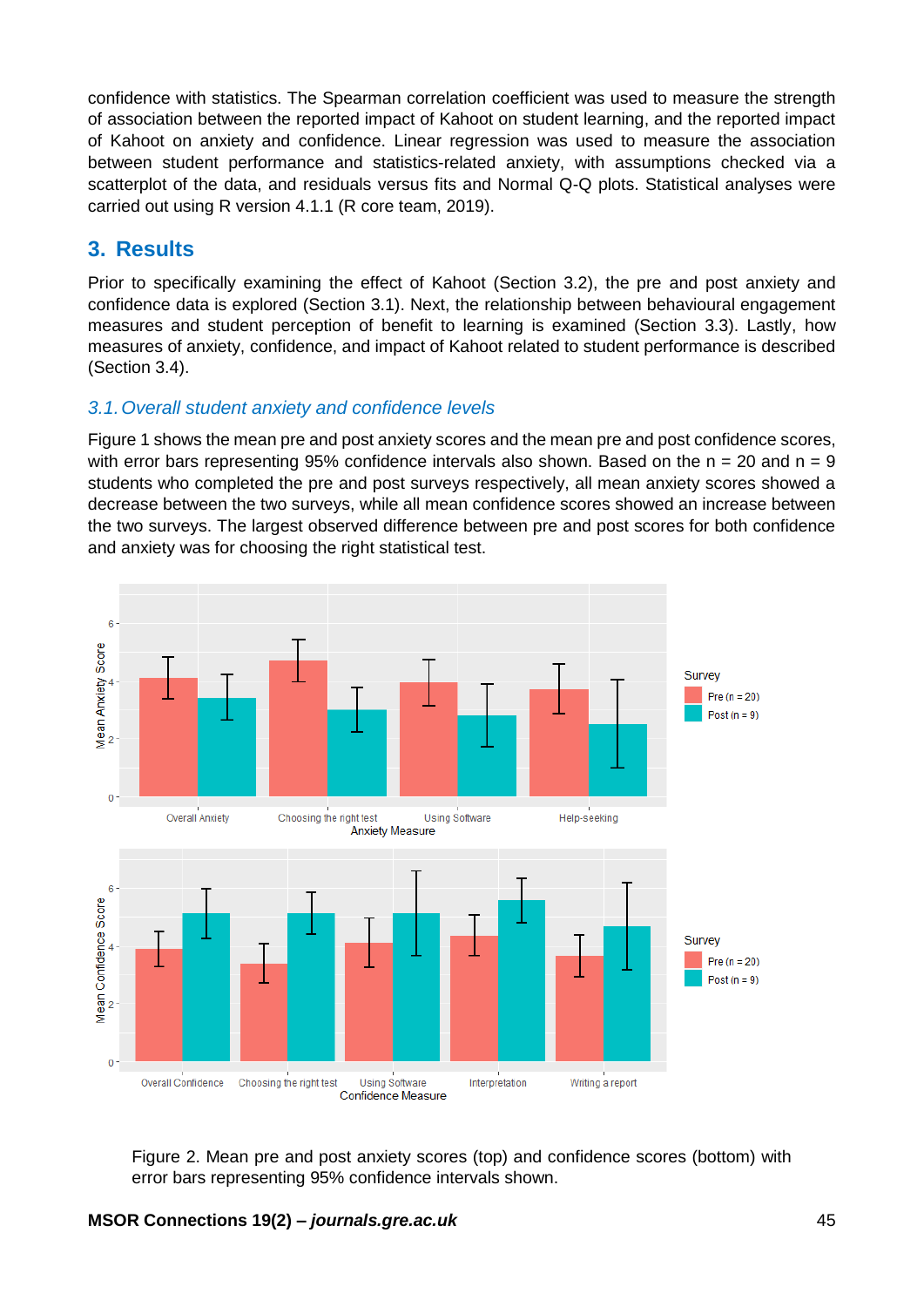confidence with statistics. The Spearman correlation coefficient was used to measure the strength of association between the reported impact of Kahoot on student learning, and the reported impact of Kahoot on anxiety and confidence. Linear regression was used to measure the association between student performance and statistics-related anxiety, with assumptions checked via a scatterplot of the data, and residuals versus fits and Normal Q-Q plots. Statistical analyses were carried out using R version 4.1.1 (R core team, 2019).

## **3. Results**

Prior to specifically examining the effect of Kahoot (Section 3.2), the pre and post anxiety and confidence data is explored (Section 3.1). Next, the relationship between behavioural engagement measures and student perception of benefit to learning is examined (Section 3.3). Lastly, how measures of anxiety, confidence, and impact of Kahoot related to student performance is described (Section 3.4).

#### *3.1.Overall student anxiety and confidence levels*

Figure 1 shows the mean pre and post anxiety scores and the mean pre and post confidence scores, with error bars representing 95% confidence intervals also shown. Based on the  $n = 20$  and  $n = 9$ students who completed the pre and post surveys respectively, all mean anxiety scores showed a decrease between the two surveys, while all mean confidence scores showed an increase between the two surveys. The largest observed difference between pre and post scores for both confidence and anxiety was for choosing the right statistical test.



Figure 2. Mean pre and post anxiety scores (top) and confidence scores (bottom) with error bars representing 95% confidence intervals shown.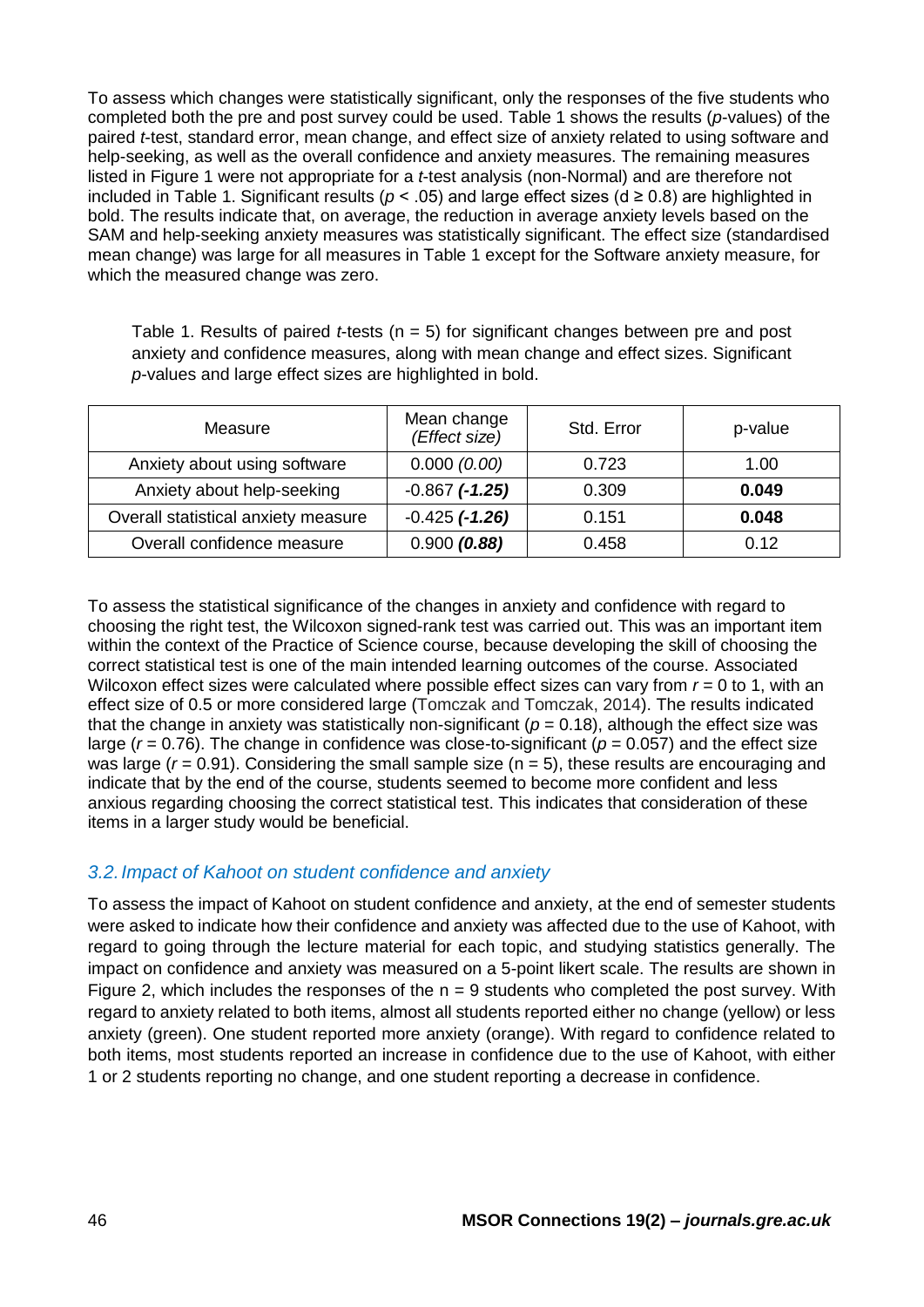To assess which changes were statistically significant, only the responses of the five students who completed both the pre and post survey could be used. Table 1 shows the results (*p*-values) of the paired *t*-test, standard error, mean change, and effect size of anxiety related to using software and help-seeking, as well as the overall confidence and anxiety measures. The remaining measures listed in Figure 1 were not appropriate for a *t*-test analysis (non-Normal) and are therefore not included in Table 1. Significant results ( $p < .05$ ) and large effect sizes ( $d \ge 0.8$ ) are highlighted in bold. The results indicate that, on average, the reduction in average anxiety levels based on the SAM and help-seeking anxiety measures was statistically significant. The effect size (standardised mean change) was large for all measures in Table 1 except for the Software anxiety measure, for which the measured change was zero.

Table 1. Results of paired *t*-tests (n = 5) for significant changes between pre and post anxiety and confidence measures, along with mean change and effect sizes. Significant *p*-values and large effect sizes are highlighted in bold.

| Measure                             | Mean change<br>(Effect size) | Std. Error | p-value |
|-------------------------------------|------------------------------|------------|---------|
| Anxiety about using software        | 0.000(0.00)                  | 0.723      | 1.00    |
| Anxiety about help-seeking          | $-0.867$ $(-1.25)$           | 0.309      | 0.049   |
| Overall statistical anxiety measure | $-0.425$ $(-1.26)$           | 0.151      | 0.048   |
| Overall confidence measure          | 0.900(0.88)                  | 0.458      | 0.12    |

To assess the statistical significance of the changes in anxiety and confidence with regard to choosing the right test, the Wilcoxon signed-rank test was carried out. This was an important item within the context of the Practice of Science course, because developing the skill of choosing the correct statistical test is one of the main intended learning outcomes of the course. Associated Wilcoxon effect sizes were calculated where possible effect sizes can vary from  $r = 0$  to 1, with an effect size of 0.5 or more considered large (Tomczak and Tomczak, 2014). The results indicated that the change in anxiety was statistically non-significant ( $p = 0.18$ ), although the effect size was large ( $r = 0.76$ ). The change in confidence was close-to-significant ( $p = 0.057$ ) and the effect size was large  $(r = 0.91)$ . Considering the small sample size  $(n = 5)$ , these results are encouraging and indicate that by the end of the course, students seemed to become more confident and less anxious regarding choosing the correct statistical test. This indicates that consideration of these items in a larger study would be beneficial.

#### *3.2.Impact of Kahoot on student confidence and anxiety*

To assess the impact of Kahoot on student confidence and anxiety, at the end of semester students were asked to indicate how their confidence and anxiety was affected due to the use of Kahoot, with regard to going through the lecture material for each topic, and studying statistics generally. The impact on confidence and anxiety was measured on a 5-point likert scale. The results are shown in Figure 2, which includes the responses of the  $n = 9$  students who completed the post survey. With regard to anxiety related to both items, almost all students reported either no change (yellow) or less anxiety (green). One student reported more anxiety (orange). With regard to confidence related to both items, most students reported an increase in confidence due to the use of Kahoot, with either 1 or 2 students reporting no change, and one student reporting a decrease in confidence.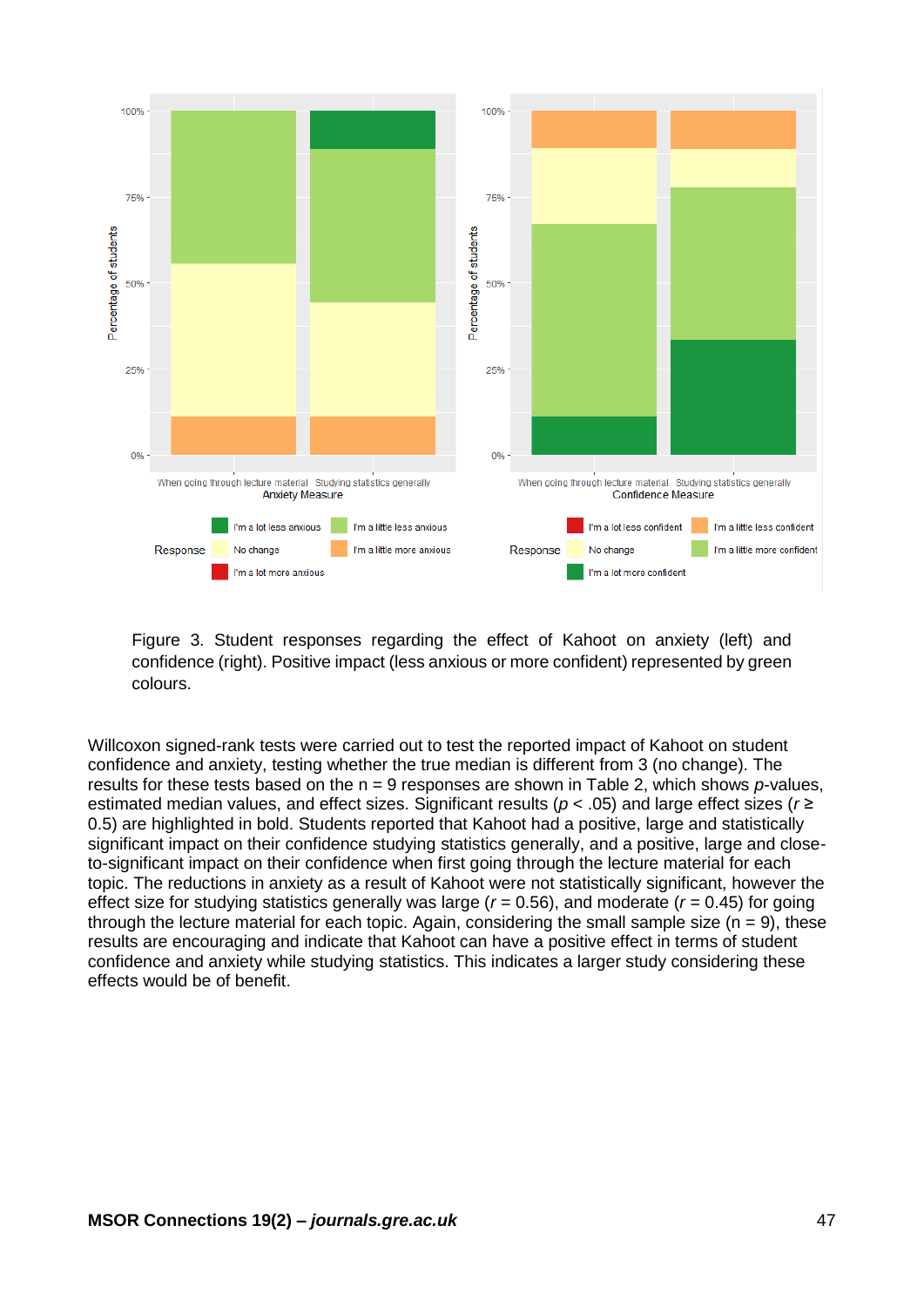

Figure 3. Student responses regarding the effect of Kahoot on anxiety (left) and confidence (right). Positive impact (less anxious or more confident) represented by green colours.

Willcoxon signed-rank tests were carried out to test the reported impact of Kahoot on student confidence and anxiety, testing whether the true median is different from 3 (no change). The results for these tests based on the n = 9 responses are shown in Table 2, which shows *p*-values, estimated median values, and effect sizes. Significant results (*p* < .05) and large effect sizes (*r* ≥ 0.5) are highlighted in bold. Students reported that Kahoot had a positive, large and statistically significant impact on their confidence studying statistics generally, and a positive, large and closeto-significant impact on their confidence when first going through the lecture material for each topic. The reductions in anxiety as a result of Kahoot were not statistically significant, however the effect size for studying statistics generally was large  $(r = 0.56)$ , and moderate  $(r = 0.45)$  for going through the lecture material for each topic. Again, considering the small sample size  $(n = 9)$ , these results are encouraging and indicate that Kahoot can have a positive effect in terms of student confidence and anxiety while studying statistics. This indicates a larger study considering these effects would be of benefit.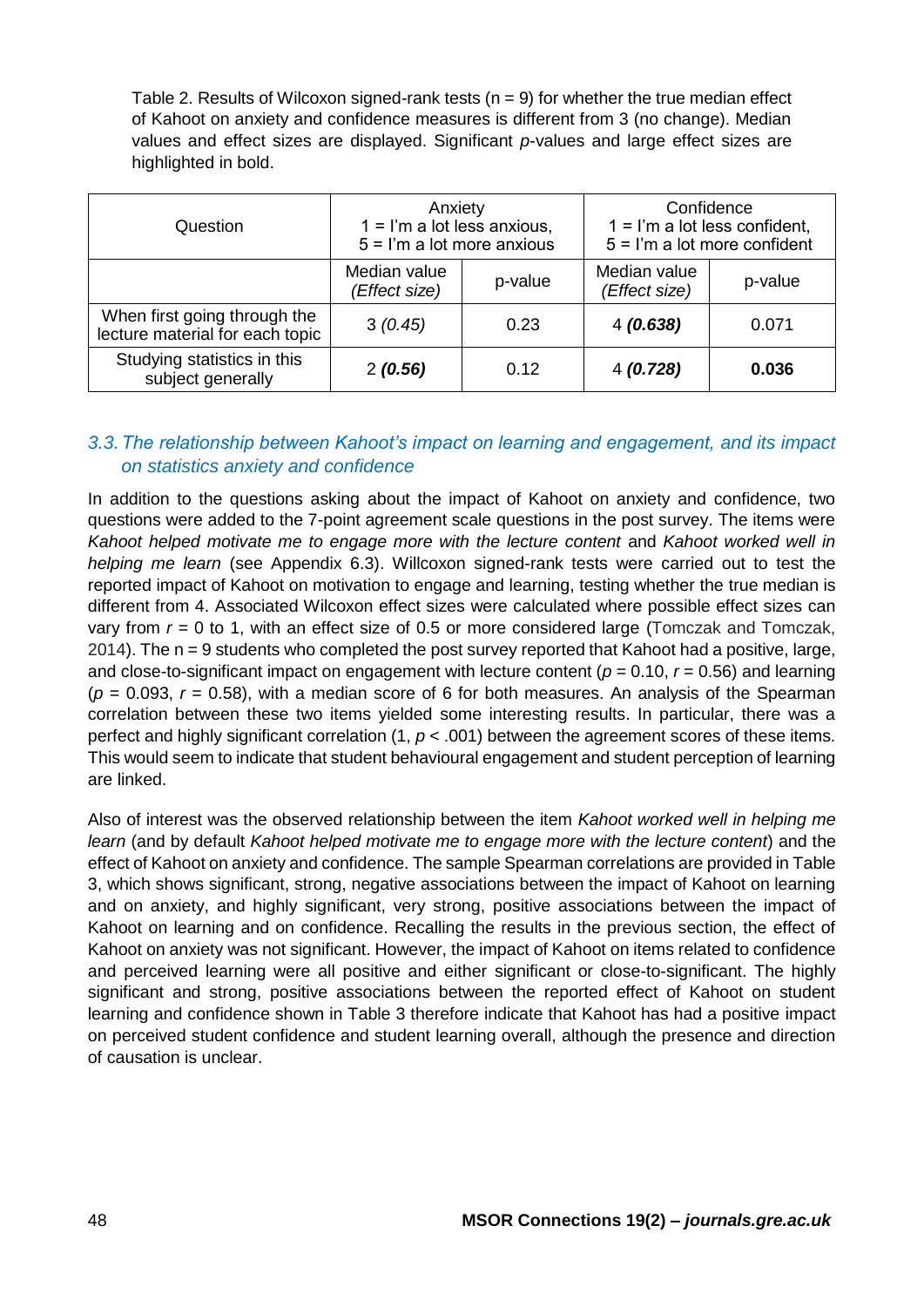Table 2. Results of Wilcoxon signed-rank tests ( $n = 9$ ) for whether the true median effect of Kahoot on anxiety and confidence measures is different from 3 (no change). Median values and effect sizes are displayed. Significant *p*-values and large effect sizes are highlighted in bold.

| Question                                                        | Anxiety<br>$1 = l'm$ a lot less anxious,<br>$5 =$ I'm a lot more anxious |      | Confidence<br>$1 =$ I'm a lot less confident,<br>$5 =$ I'm a lot more confident |         |  |
|-----------------------------------------------------------------|--------------------------------------------------------------------------|------|---------------------------------------------------------------------------------|---------|--|
|                                                                 | Median value<br>p-value<br>(Effect size)                                 |      | Median value<br>(Effect size)                                                   | p-value |  |
| When first going through the<br>lecture material for each topic | 3(0.45)<br>0.23                                                          |      | 4(0.638)                                                                        | 0.071   |  |
| Studying statistics in this<br>subject generally                | 2(0.56)                                                                  | 0.12 | 4(0.728)                                                                        | 0.036   |  |

### *3.3.The relationship between Kahoot's impact on learning and engagement, and its impact on statistics anxiety and confidence*

In addition to the questions asking about the impact of Kahoot on anxiety and confidence, two questions were added to the 7-point agreement scale questions in the post survey. The items were *Kahoot helped motivate me to engage more with the lecture content* and *Kahoot worked well in helping me learn* (see Appendix 6.3). Willcoxon signed-rank tests were carried out to test the reported impact of Kahoot on motivation to engage and learning, testing whether the true median is different from 4. Associated Wilcoxon effect sizes were calculated where possible effect sizes can vary from *r* = 0 to 1, with an effect size of 0.5 or more considered large (Tomczak and Tomczak, 2014). The n = 9 students who completed the post survey reported that Kahoot had a positive, large, and close-to-significant impact on engagement with lecture content ( $p = 0.10$ ,  $r = 0.56$ ) and learning  $(p = 0.093, r = 0.58)$ , with a median score of 6 for both measures. An analysis of the Spearman correlation between these two items yielded some interesting results. In particular, there was a perfect and highly significant correlation (1,  $p < .001$ ) between the agreement scores of these items. This would seem to indicate that student behavioural engagement and student perception of learning are linked.

Also of interest was the observed relationship between the item *Kahoot worked well in helping me learn* (and by default *Kahoot helped motivate me to engage more with the lecture content*) and the effect of Kahoot on anxiety and confidence. The sample Spearman correlations are provided in Table 3, which shows significant, strong, negative associations between the impact of Kahoot on learning and on anxiety, and highly significant, very strong, positive associations between the impact of Kahoot on learning and on confidence. Recalling the results in the previous section, the effect of Kahoot on anxiety was not significant. However, the impact of Kahoot on items related to confidence and perceived learning were all positive and either significant or close-to-significant. The highly significant and strong, positive associations between the reported effect of Kahoot on student learning and confidence shown in Table 3 therefore indicate that Kahoot has had a positive impact on perceived student confidence and student learning overall, although the presence and direction of causation is unclear.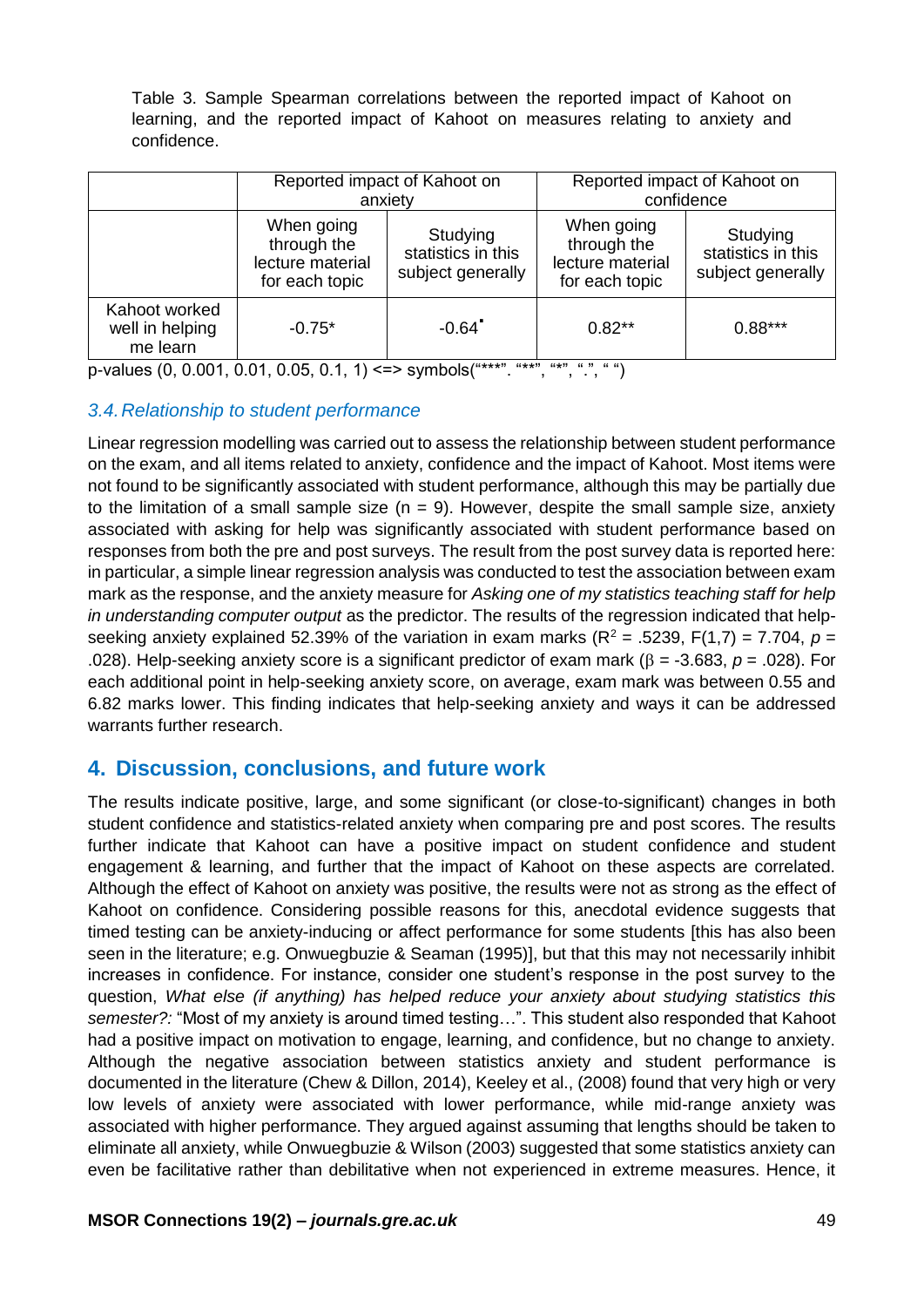Table 3. Sample Spearman correlations between the reported impact of Kahoot on learning, and the reported impact of Kahoot on measures relating to anxiety and confidence.

|                                              | Reported impact of Kahoot on<br>anxiety                         |                                                     | Reported impact of Kahoot on<br>confidence                      |                                                     |
|----------------------------------------------|-----------------------------------------------------------------|-----------------------------------------------------|-----------------------------------------------------------------|-----------------------------------------------------|
|                                              | When going<br>through the<br>lecture material<br>for each topic | Studying<br>statistics in this<br>subject generally | When going<br>through the<br>lecture material<br>for each topic | Studying<br>statistics in this<br>subject generally |
| Kahoot worked<br>well in helping<br>me learn | $-0.75*$                                                        | $-0.64$ <sup>*</sup>                                | $0.82**$                                                        | $0.88***$                                           |

p-values  $(0, 0.001, 0.01, 0.05, 0.1, 1)$  <=> symbols $($ "\*\*\*", "\*\*", "\*", ", ")

#### *3.4.Relationship to student performance*

Linear regression modelling was carried out to assess the relationship between student performance on the exam, and all items related to anxiety, confidence and the impact of Kahoot. Most items were not found to be significantly associated with student performance, although this may be partially due to the limitation of a small sample size  $(n = 9)$ . However, despite the small sample size, anxiety associated with asking for help was significantly associated with student performance based on responses from both the pre and post surveys. The result from the post survey data is reported here: in particular, a simple linear regression analysis was conducted to test the association between exam mark as the response, and the anxiety measure for *Asking one of my statistics teaching staff for help in understanding computer output* as the predictor. The results of the regression indicated that helpseeking anxiety explained 52.39% of the variation in exam marks  $(R^2 = .5239, F(1,7) = 7.704, p =$ .028). Help-seeking anxiety score is a significant predictor of exam mark ( $\beta$  = -3.683,  $p$  = .028). For each additional point in help-seeking anxiety score, on average, exam mark was between 0.55 and 6.82 marks lower. This finding indicates that help-seeking anxiety and ways it can be addressed warrants further research.

## **4. Discussion, conclusions, and future work**

The results indicate positive, large, and some significant (or close-to-significant) changes in both student confidence and statistics-related anxiety when comparing pre and post scores. The results further indicate that Kahoot can have a positive impact on student confidence and student engagement & learning, and further that the impact of Kahoot on these aspects are correlated. Although the effect of Kahoot on anxiety was positive, the results were not as strong as the effect of Kahoot on confidence. Considering possible reasons for this, anecdotal evidence suggests that timed testing can be anxiety-inducing or affect performance for some students [this has also been seen in the literature; e.g. Onwuegbuzie & Seaman (1995)], but that this may not necessarily inhibit increases in confidence. For instance, consider one student's response in the post survey to the question, *What else (if anything) has helped reduce your anxiety about studying statistics this semester?:* "Most of my anxiety is around timed testing…". This student also responded that Kahoot had a positive impact on motivation to engage, learning, and confidence, but no change to anxiety. Although the negative association between statistics anxiety and student performance is documented in the literature (Chew & Dillon, 2014), Keeley et al., (2008) found that very high or very low levels of anxiety were associated with lower performance, while mid-range anxiety was associated with higher performance. They argued against assuming that lengths should be taken to eliminate all anxiety, while Onwuegbuzie & Wilson (2003) suggested that some statistics anxiety can even be facilitative rather than debilitative when not experienced in extreme measures. Hence, it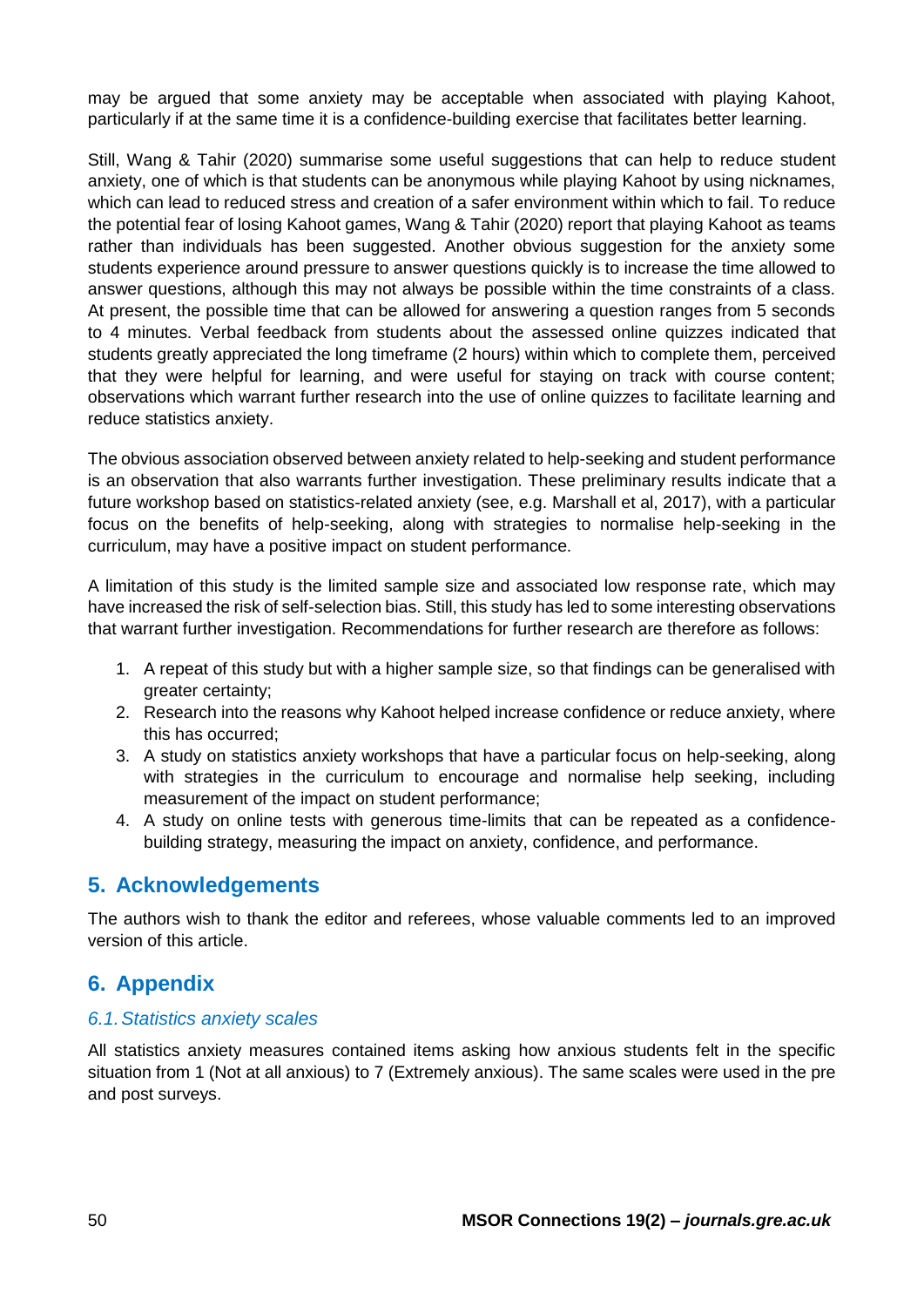may be argued that some anxiety may be acceptable when associated with playing Kahoot, particularly if at the same time it is a confidence-building exercise that facilitates better learning.

Still, Wang & Tahir (2020) summarise some useful suggestions that can help to reduce student anxiety, one of which is that students can be anonymous while playing Kahoot by using nicknames, which can lead to reduced stress and creation of a safer environment within which to fail. To reduce the potential fear of losing Kahoot games, Wang & Tahir (2020) report that playing Kahoot as teams rather than individuals has been suggested. Another obvious suggestion for the anxiety some students experience around pressure to answer questions quickly is to increase the time allowed to answer questions, although this may not always be possible within the time constraints of a class. At present, the possible time that can be allowed for answering a question ranges from 5 seconds to 4 minutes. Verbal feedback from students about the assessed online quizzes indicated that students greatly appreciated the long timeframe (2 hours) within which to complete them, perceived that they were helpful for learning, and were useful for staying on track with course content; observations which warrant further research into the use of online quizzes to facilitate learning and reduce statistics anxiety.

The obvious association observed between anxiety related to help-seeking and student performance is an observation that also warrants further investigation. These preliminary results indicate that a future workshop based on statistics-related anxiety (see, e.g. Marshall et al, 2017), with a particular focus on the benefits of help-seeking, along with strategies to normalise help-seeking in the curriculum, may have a positive impact on student performance.

A limitation of this study is the limited sample size and associated low response rate, which may have increased the risk of self-selection bias. Still, this study has led to some interesting observations that warrant further investigation. Recommendations for further research are therefore as follows:

- 1. A repeat of this study but with a higher sample size, so that findings can be generalised with greater certainty;
- 2. Research into the reasons why Kahoot helped increase confidence or reduce anxiety, where this has occurred;
- 3. A study on statistics anxiety workshops that have a particular focus on help-seeking, along with strategies in the curriculum to encourage and normalise help seeking, including measurement of the impact on student performance;
- 4. A study on online tests with generous time-limits that can be repeated as a confidencebuilding strategy, measuring the impact on anxiety, confidence, and performance.

## **5. Acknowledgements**

The authors wish to thank the editor and referees, whose valuable comments led to an improved version of this article.

## **6. Appendix**

#### *6.1.Statistics anxiety scales*

All statistics anxiety measures contained items asking how anxious students felt in the specific situation from 1 (Not at all anxious) to 7 (Extremely anxious). The same scales were used in the pre and post surveys.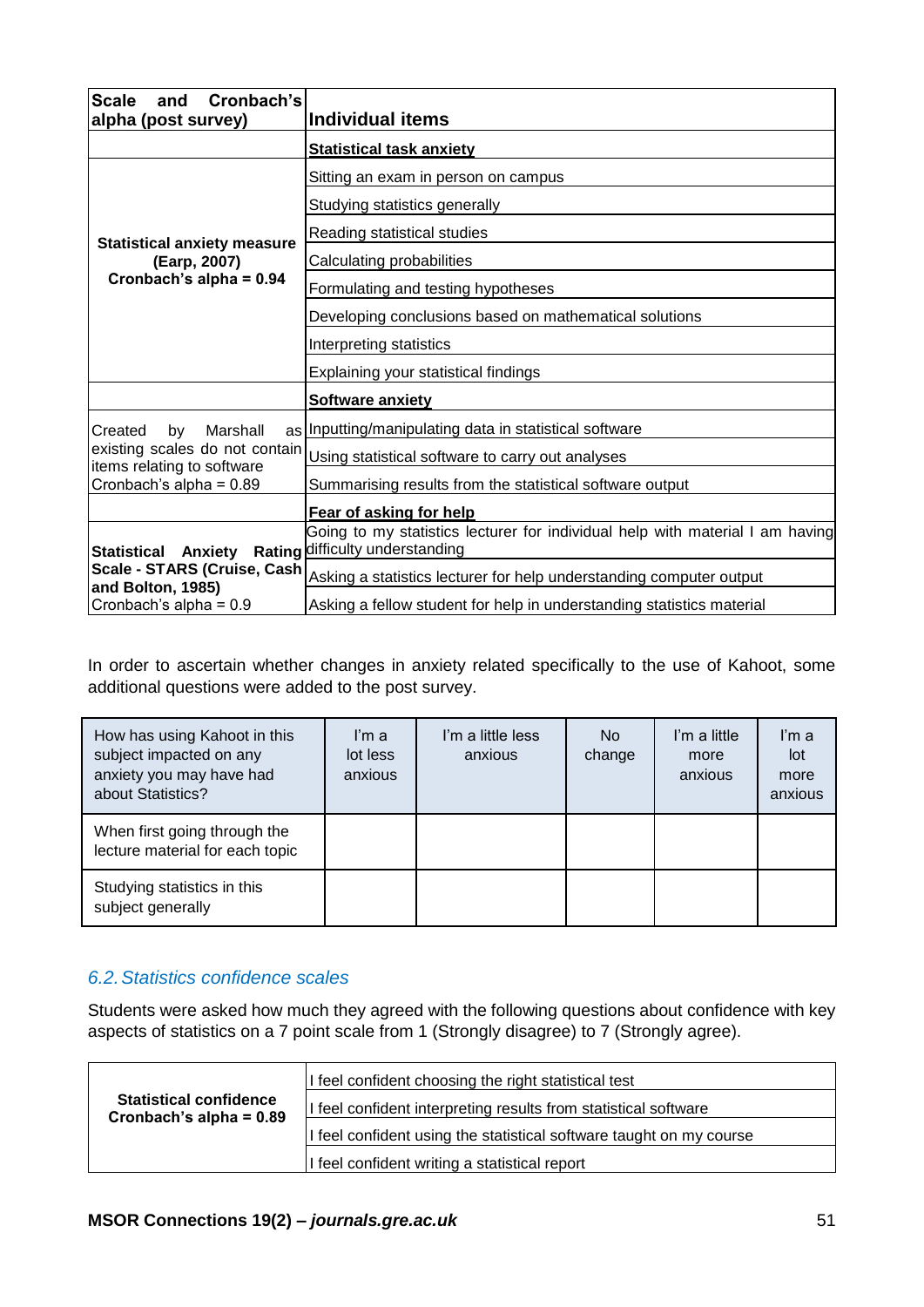| Cronbach's<br><b>Scale</b><br>and<br>alpha (post survey)                       | <b>Individual items</b>                                                                                          |
|--------------------------------------------------------------------------------|------------------------------------------------------------------------------------------------------------------|
|                                                                                | <b>Statistical task anxiety</b>                                                                                  |
|                                                                                | Sitting an exam in person on campus                                                                              |
|                                                                                | Studying statistics generally                                                                                    |
| <b>Statistical anxiety measure</b>                                             | Reading statistical studies                                                                                      |
| (Earp, 2007)                                                                   | Calculating probabilities                                                                                        |
| Cronbach's alpha = $0.94$                                                      | Formulating and testing hypotheses                                                                               |
|                                                                                | Developing conclusions based on mathematical solutions                                                           |
|                                                                                | Interpreting statistics                                                                                          |
|                                                                                | Explaining your statistical findings                                                                             |
|                                                                                | <b>Software anxiety</b>                                                                                          |
| Marshall<br>Created<br>by                                                      | as Inputting/manipulating data in statistical software                                                           |
| existing scales do not contain<br>items relating to software                   | Using statistical software to carry out analyses                                                                 |
| Cronbach's alpha = $0.89$                                                      | Summarising results from the statistical software output                                                         |
|                                                                                | Fear of asking for help                                                                                          |
|                                                                                | Going to my statistics lecturer for individual help with material I am having<br>Rating difficulty understanding |
| <b>Statistical Anxiety</b><br>Scale - STARS (Cruise, Cash<br>and Bolton, 1985) | Asking a statistics lecturer for help understanding computer output                                              |
| Cronbach's alpha = $0.9$                                                       | Asking a fellow student for help in understanding statistics material                                            |

In order to ascertain whether changes in anxiety related specifically to the use of Kahoot, some additional questions were added to the post survey.

| How has using Kahoot in this<br>subject impacted on any<br>anxiety you may have had<br>about Statistics? | I'm a<br>lot less<br>anxious | I'm a little less<br>anxious | No.<br>change | I'm a little<br>more<br>anxious | I'm a<br>lot<br>more<br>anxious |
|----------------------------------------------------------------------------------------------------------|------------------------------|------------------------------|---------------|---------------------------------|---------------------------------|
| When first going through the<br>lecture material for each topic                                          |                              |                              |               |                                 |                                 |
| Studying statistics in this<br>subject generally                                                         |                              |                              |               |                                 |                                 |

#### *6.2.Statistics confidence scales*

Students were asked how much they agreed with the following questions about confidence with key aspects of statistics on a 7 point scale from 1 (Strongly disagree) to 7 (Strongly agree).

|                                                            | If feel confident choosing the right statistical test                |
|------------------------------------------------------------|----------------------------------------------------------------------|
| <b>Statistical confidence</b><br>Cronbach's alpha = $0.89$ | If feel confident interpreting results from statistical software     |
|                                                            | If feel confident using the statistical software taught on my course |
|                                                            | If feel confident writing a statistical report                       |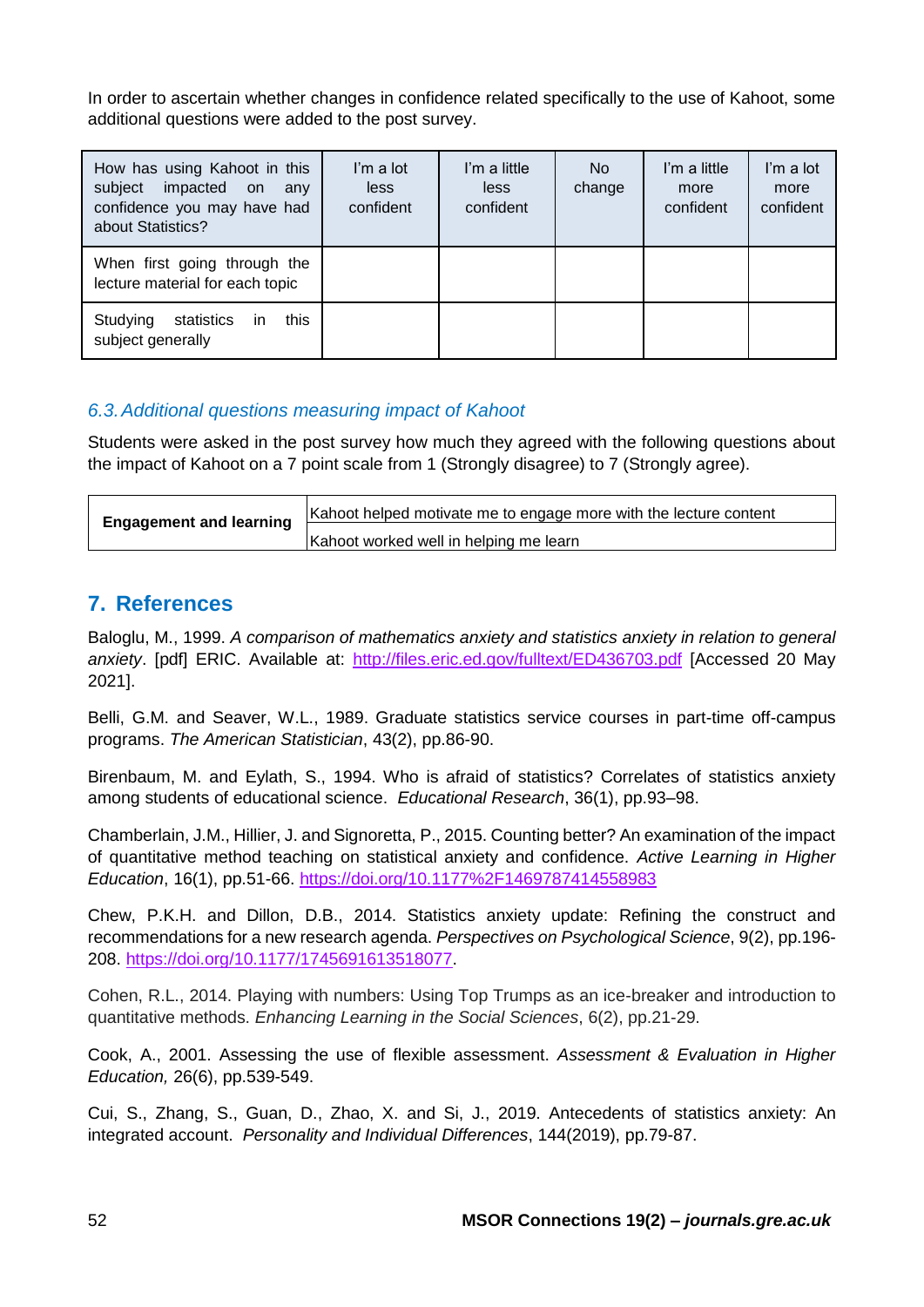In order to ascertain whether changes in confidence related specifically to the use of Kahoot, some additional questions were added to the post survey.

| How has using Kahoot in this<br>impacted on<br>subject<br>any<br>confidence you may have had<br>about Statistics? | I'm a lot<br>less<br>confident | I'm a little<br>less<br>confident | No.<br>change | I'm a little<br>more<br>confident | I'm a lot<br>more<br>confident |
|-------------------------------------------------------------------------------------------------------------------|--------------------------------|-----------------------------------|---------------|-----------------------------------|--------------------------------|
| When first going through the<br>lecture material for each topic                                                   |                                |                                   |               |                                   |                                |
| this<br>Studying<br>statistics in<br>subject generally                                                            |                                |                                   |               |                                   |                                |

#### *6.3.Additional questions measuring impact of Kahoot*

Students were asked in the post survey how much they agreed with the following questions about the impact of Kahoot on a 7 point scale from 1 (Strongly disagree) to 7 (Strongly agree).

|                                | Kahoot helped motivate me to engage more with the lecture content |
|--------------------------------|-------------------------------------------------------------------|
| <b>Engagement and learning</b> | Kahoot worked well in helping me learn                            |

## **7. References**

Baloglu, M., 1999. *A comparison of mathematics anxiety and statistics anxiety in relation to general anxiety*. [pdf] ERIC. Available at: <http://files.eric.ed.gov/fulltext/ED436703.pdf> [Accessed 20 May 2021].

Belli, G.M. and Seaver, W.L., 1989. Graduate statistics service courses in part-time off-campus programs. *The American Statistician*, 43(2), pp.86-90.

Birenbaum, M. and Eylath, S., 1994. Who is afraid of statistics? Correlates of statistics anxiety among students of educational science. *Educational Research*, 36(1), pp.93–98.

Chamberlain, J.M., Hillier, J. and Signoretta, P., 2015. Counting better? An examination of the impact of quantitative method teaching on statistical anxiety and confidence. *Active Learning in Higher Education*, 16(1), pp.51-66.<https://doi.org/10.1177%2F1469787414558983>

Chew, P.K.H. and Dillon, D.B., 2014. Statistics anxiety update: Refining the construct and recommendations for a new research agenda. *Perspectives on Psychological Science*, 9(2), pp.196- 208. [https://doi.org/10.1177/1745691613518077.](https://doi.org/10.1177/1745691613518077)

Cohen, R.L., 2014. Playing with numbers: Using Top Trumps as an ice-breaker and introduction to quantitative methods. *Enhancing Learning in the Social Sciences*, 6(2), pp.21-29.

Cook, A., 2001. Assessing the use of flexible assessment. *Assessment & Evaluation in Higher Education,* 26(6), pp.539-549.

Cui, S., Zhang, S., Guan, D., Zhao, X. and Si, J., 2019. Antecedents of statistics anxiety: An integrated account. *Personality and Individual Differences*, 144(2019), pp.79-87.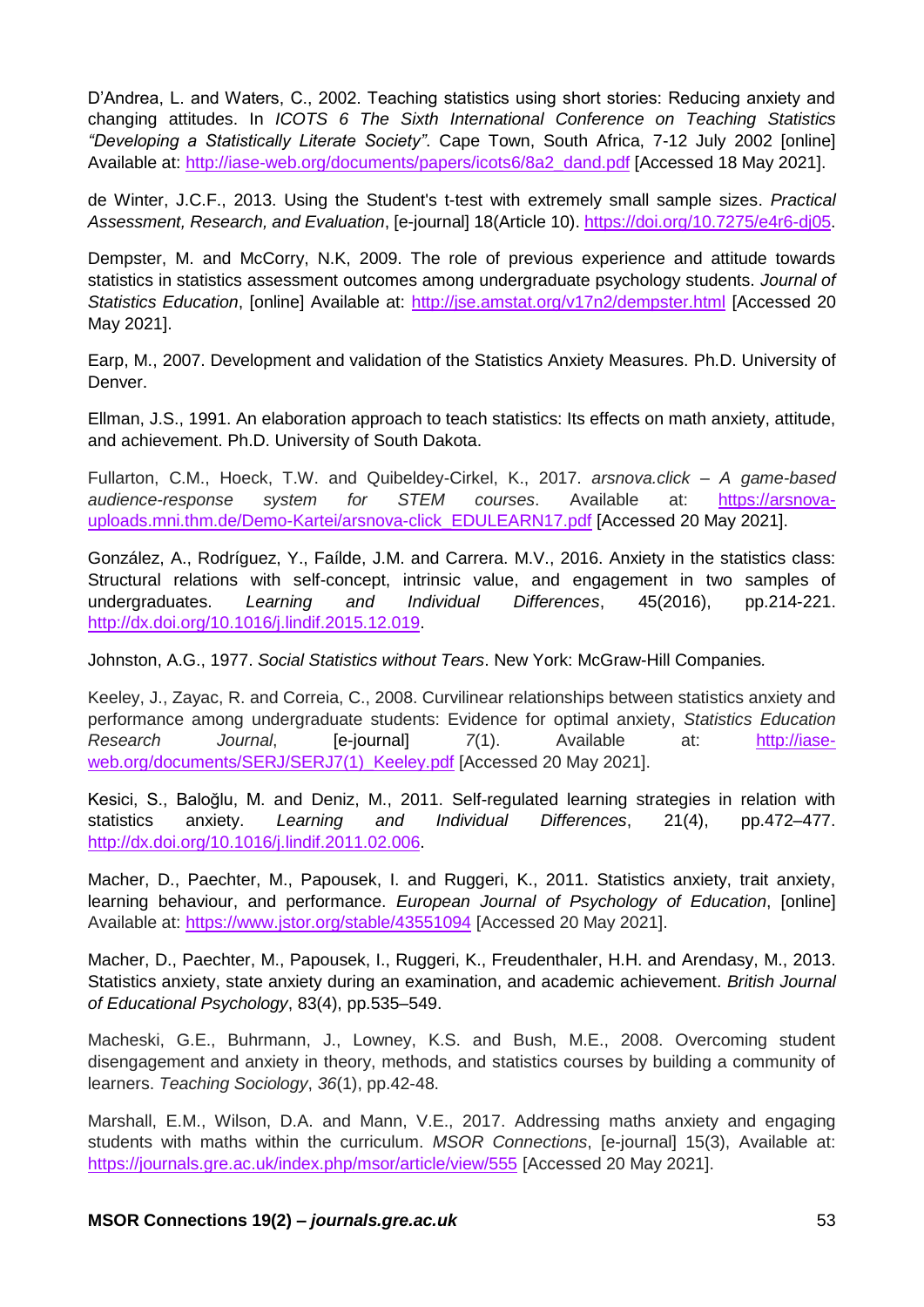D'Andrea, L. and Waters, C., 2002. Teaching statistics using short stories: Reducing anxiety and changing attitudes. In *ICOTS 6 The Sixth International Conference on Teaching Statistics "Developing a Statistically Literate Society"*. Cape Town, South Africa, 7-12 July 2002 [online] Available at: [http://iase-web.org/documents/papers/icots6/8a2\\_dand.pdf](http://iase-web.org/documents/papers/icots6/8a2_dand.pdf) [Accessed 18 May 2021].

de Winter, J.C.F., 2013. Using the Student's t-test with extremely small sample sizes. *Practical Assessment, Research, and Evaluation*, [e-journal] 18(Article 10). [https://doi.org/10.7275/e4r6-dj05.](https://doi.org/10.7275/e4r6-dj05)

Dempster, M. and McCorry, N.K, 2009. The role of previous experience and attitude towards statistics in statistics assessment outcomes among undergraduate psychology students. *Journal of Statistics Education*, [online] Available at:<http://jse.amstat.org/v17n2/dempster.html> [Accessed 20 May 2021].

Earp, M., 2007. Development and validation of the Statistics Anxiety Measures. Ph.D. University of Denver.

Ellman, J.S., 1991. An elaboration approach to teach statistics: Its effects on math anxiety, attitude, and achievement. Ph.D. University of South Dakota.

Fullarton, C.M., Hoeck, T.W. and Quibeldey-Cirkel, K., 2017. *arsnova.click – A game-based audience-response system for STEM courses*. Available at: [https://arsnova](https://arsnova-uploads.mni.thm.de/Demo-Kartei/arsnova-click_EDULEARN17.pdf)[uploads.mni.thm.de/Demo-Kartei/arsnova-click\\_EDULEARN17.pdf](https://arsnova-uploads.mni.thm.de/Demo-Kartei/arsnova-click_EDULEARN17.pdf) [Accessed 20 May 2021].

González, A., Rodríguez, Y., Faílde, J.M. and Carrera. M.V., 2016. Anxiety in the statistics class: Structural relations with self-concept, intrinsic value, and engagement in two samples of undergraduates. *Learning and Individual Differences*, 45(2016), pp.214-221. [http://dx.doi.org/10.1016/j.lindif.2015.12.019.](http://dx.doi.org/10.1016/j.lindif.2015.12.019)

Johnston, A.G., 1977. *Social Statistics without Tears*. New York: McGraw-Hill Companies*.*

Keeley, J., Zayac, R. and Correia, C., 2008. Curvilinear relationships between statistics anxiety and performance among undergraduate students: Evidence for optimal anxiety, *Statistics Education Research Journal*, [e-journal] *7*(1). Available at: [http://iase](http://iase-web.org/documents/SERJ/SERJ7(1)_Keeley.pdf)web.org/documents/SERJ/SERJ7(1) Keeley.pdf [Accessed 20 May 2021].

Kesici, S., Baloğlu, M. and Deniz, M., 2011. Self-regulated learning strategies in relation with statistics anxiety. *Learning and Individual Differences*, 21(4), pp.472–477. [http://dx.doi.org/10.1016/j.lindif.2011.02.006.](http://dx.doi.org/10.1016/j.lindif.2011.02.006)

Macher, D., Paechter, M., Papousek, I. and Ruggeri, K., 2011. Statistics anxiety, trait anxiety, learning behaviour, and performance. *European Journal of Psychology of Education*, [online] Available at:<https://www.jstor.org/stable/43551094> [Accessed 20 May 2021].

Macher, D., Paechter, M., Papousek, I., Ruggeri, K., Freudenthaler, H.H. and Arendasy, M., 2013. Statistics anxiety, state anxiety during an examination, and academic achievement. *British Journal of Educational Psychology*, 83(4), pp.535–549.

Macheski, G.E., Buhrmann, J., Lowney, K.S. and Bush, M.E., 2008. Overcoming student disengagement and anxiety in theory, methods, and statistics courses by building a community of learners. *Teaching Sociology*, *36*(1), pp.42-48.

Marshall, E.M., Wilson, D.A. and Mann, V.E., 2017. Addressing maths anxiety and engaging students with maths within the curriculum. *MSOR Connections*, [e-journal] 15(3), Available at: <https://journals.gre.ac.uk/index.php/msor/article/view/555> [Accessed 20 May 2021].

**MSOR Connections 19(2) –** *journals.gre.ac.uk* 53